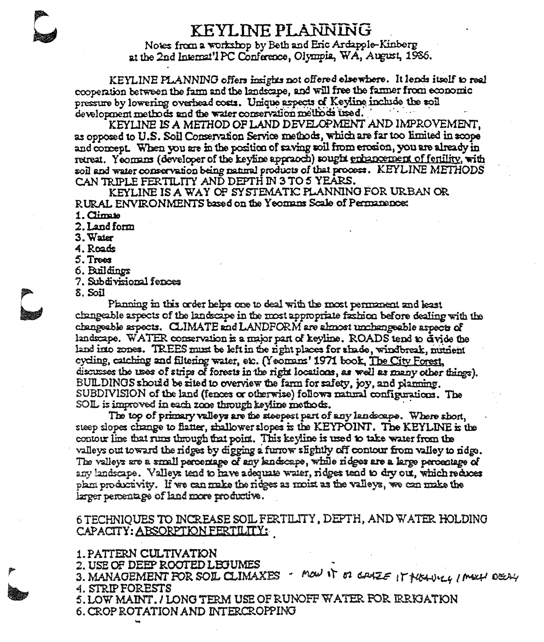# KEYLINE PLANNING

Notes from a workshop by Beth and Eric Ardapple-Kinberg at the 2nd Internat'l PC Conference, Olympia, WA, August, 1986.

KEYLINE PLANNING offers insights not offered elsewhere. It lends itself to real cooperation between the farm and the landscape, and will free the farmer from economic pressure by lowering overhead costs. Unique aspects of Keyline include the soil development methods and the water conservation methods used.

KEYLINE IS A METHOD OF LAND DEVELOPMENT AND IMPROVEMENT. as opposed to U.S. Soil Conservation Service methods, which are far too limited in scope and concept. When you are in the position of saving soil from erosion, you are already in retreat. Yeomans (developer of the keyline appracch) sought enhancement of fertility, with soil and water conservation being natural products of that process. KEYLINE METHODS CAN TRIPLE FERTILITY AND DEPTH IN 3 TO 5 YEARS.

KEYLINE IS A WAY OF SYSTEMATIC PLANNING FOR URBAN OR RURAL ENVIRONMENTS based on the Yeomans Scale of Permanence:

1. Climate

2. Land form

 $3.$  Water

4. Roads

5. Trees

6. Buildings

7. Subdivisional fences

 $8.$  Soil

Planning in this order helps one to deal with the most permanent and least changeable aspects of the landscape in the most appropriate fashion before dealing with the changeable sxpects. CLIMATE and LANDFORM are almost unchangeable aspects of landscape. WATER conservation is a major part of keyline. ROADS tend to divide the land into zones. TREES must be left in the right places for shade, windbreak, nutrient cycling, catching and filtering water, etc. (Yeomans' 1971 book, The City Forest, discusses the uses of strips of forests in the right locations, as well as many other things). BUILDINGS should be sited to overview the farm for safety, joy, and planning.  $\text{SUBDIVISION}$  of the land (fences or otherwise) follows natural configurations. The SOIL is improved in each zone through keyline methods.

The top of primary valleys are the steepest part of any landscape. Where short, steep slopes change to flatter, shallower slopes is the KEYPOINT. The KEYLINE is the contour line that runs through that point. This keyline is used to take water from the valleys out toward the ridges by digging a furrow slightly off contour from valley to ridge. The valleys are a small percentage of any knoscape, while ridges are a large percentage of any landscape. Valleys tend to have adequate water, ridges tend to dry out, which reduces plan productivity. If we can make the ridges as moix as the valleys, we can make the larger percentage of land more productive.

# 6 TECHNIQUES TO INCREASE SOIL FERTILITY, DEPTH, AND WATER HOLDING CAPACITY: ABSORPTION FERTILITY:

## 1. PATTERN CULTIVATION

2. USE OF DEEP ROOTED LEGUMES

3. MANAGEMENT FOR SOL CLIMAXES - MOW IT OF GOVE E IT MONULY I MELH DECAY **4. STRIP FORESTS** 

5. LOW MAINT, / LONG TERM USE OF RUNOFF WATER FOR IRRIGATION

6. CROP ROTATION AND INTERCROPPING